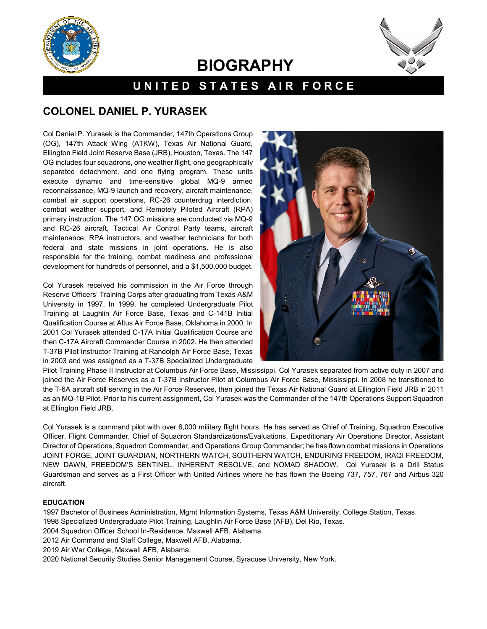



# **BIOGRAPHY**

## **UNITED STATES AIR FORCE**

### **COLONEL DANIEL P. YURASEK**

Col Daniel P. Yurasek is the Commander, 147th Operations Group (OG), 147th Attack Wing (ATKW), Texas Air National Guard, Ellington Field Joint Reserve Base (JRB), Houston, Texas. The 147 OG includes four squadrons, one weather flight, one geographically separated detachment, and one flying program. These units execute dynamic and time-sensitive global MQ-9 armed reconnaissance, MQ-9 launch and recovery, aircraft maintenance, combat air support operations, RC-26 counterdrug interdiction, combat weather support, and Remotely Piloted Aircraft (RPA) primary instruction. The 147 OG missions are conducted via MQ-9 and RC-26 aircraft, Tactical Air Control Party teams, aircraft maintenance, RPA instructors, and weather technicians for both federal and state missions in joint operations. He is also responsible for the training, combat readiness and professional development for hundreds of personnel, and a \$1,500,000 budget.

Col Yurasek received his commission in the Air Force through Reserve Officers' Training Corps after graduating from Texas A&M University in 1997. In 1999, he completed Undergraduate Pilot Training at Laughlin Air Force Base, Texas and C-141B Initial Qualification Course at Altus Air Force Base, Oklahoma in 2000. In 2001 Col Yurasek attended C-17A Initial Qualification Course and then C-17A Aircraft Commander Course in 2002. He then attended T-37B Pilot Instructor Training at Randolph Air Force Base, Texas in 2003 and was assigned as a T-37B Specialized Undergraduate



Pilot Training Phase II Instructor at Columbus Air Force Base, Mississippi. Col Yurasek separated from active duty in 2007 and joined the Air Force Reserves as a T-37B Instructor Pilot at Columbus Air Force Base, Mississippi. In 2008 he transitioned to the T-6A aircraft still serving in the Air Force Reserves, then joined the Texas Air National Guard at Ellington Field JRB in 2011 as an MQ-1B Pilot. Prior to his current assignment, Col Yurasek was the Commander of the 147th Operations Support Squadron at Ellington Field JRB.

Col Yurasek is a command pilot with over 6,000 military flight hours. He has served as Chief of Training, Squadron Executive Officer, Flight Commander, Chief of Squadron Standardizations/Evaluations, Expeditionary Air Operations Director, Assistant Director of Operations, Squadron Commander, and Operations Group Commander; he has flown combat missions in Operations JOINT FORGE, JOINT GUARDIAN, NORTHERN WATCH, SOUTHERN WATCH, ENDURING FREEDOM, IRAQI FREEDOM, NEW DAWN, FREEDOM'S SENTINEL, INHERENT RESOLVE, and NOMAD SHADOW. Col Yurasek is a Drill Status Guardsman and serves as a First Officer with United Airlines where he has flown the Boeing 737, 757, 767 and Airbus 320 aircraft.

#### **EDUCATION**

1997 Bachelor of Business Administration, Mgmt Information Systems, Texas A&M University, College Station, Texas.

- 1998 Specialized Undergraduate Pilot Training, Laughlin Air Force Base (AFB), Del Rio, Texas.
- 2004 Squadron Officer School In-Residence, Maxwell AFB, Alabama.
- 2012 Air Command and Staff College, Maxwell AFB, Alabama.
- 2019 Air War College, Maxwell AFB, Alabama.

2020 National Security Studies Senior Management Course, Syracuse University, New York.